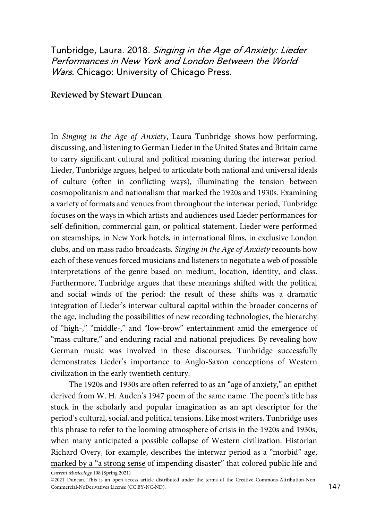Tunbridge, Laura. 2018. Singing in the Age of Anxiety: Lieder Performances in New York and London Between the World Wars. Chicago: University of Chicago Press.

## Reviewed by Stewart Duncan

In Singing in the Age of Anxiety, Laura Tunbridge shows how performing, discussing, and listening to German Lieder in the United States and Britain came to carry significant cultural and political meaning during the interwar period. Lieder, Tunbridge argues, helped to articulate both national and universal ideals of culture (often in conflicting ways), illuminating the tension between cosmopolitanism and nationalism that marked the 1920s and 1930s. Examining a variety of formats and venues from throughout the interwar period, Tunbridge focuses on the ways in which artists and audiences used Lieder performances for self-definition, commercial gain, or political statement. Lieder were performed on steamships, in New York hotels, in international films, in exclusive London clubs, and on mass radio broadcasts. Singing in the Age of Anxiety recounts how each of these venues forced musicians and listeners to negotiate a web of possible interpretations of the genre based on medium, location, identity, and class. Furthermore, Tunbridge argues that these meanings shifted with the political and social winds of the period: the result of these shifts was a dramatic integration of Lieder's interwar cultural capital within the broader concerns of the age, including the possibilities of new recording technologies, the hierarchy of "high-," "middle-," and "low-brow" entertainment amid the emergence of "mass culture," and enduring racial and national prejudices. By revealing how German music was involved in these discourses, Tunbridge successfully demonstrates Lieder's importance to Anglo-Saxon conceptions of Western civilization in the early twentieth century.

The 1920s and 1930s are often referred to as an "age of anxiety," an epithet derived from W. H. Auden's 1947 poem of the same name. The poem's title has stuck in the scholarly and popular imagination as an apt descriptor for the period's cultural, social, and political tensions. Like most writers, Tunbridge uses this phrase to refer to the looming atmosphere of crisis in the 1920s and 1930s, when many anticipated a possible collapse of Western civilization. Historian Richard Overy, for example, describes the interwar period as a "morbid" age, marked by a "a strong sense of impending disaster" that colored public life and

Current Musicology 108 (Spring 2021)

<sup>©2021</sup> Duncan. This is an open access article distributed under the terms of the Creative Commons-Attribution-Non-Commercial-NoDerivatives License (CC BY-NC-ND). 147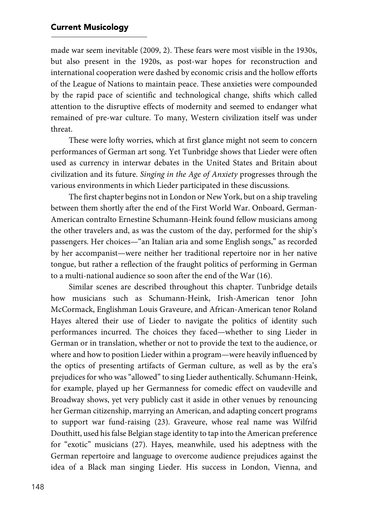## **Current Musicology**

made war seem inevitable (2009, 2). These fears were most visible in the 1930s, but also present in the 1920s, as post-war hopes for reconstruction and international cooperation were dashed by economic crisis and the hollow efforts of the League of Nations to maintain peace. These anxieties were compounded by the rapid pace of scientific and technological change, shifts which called attention to the disruptive effects of modernity and seemed to endanger what remained of pre-war culture. To many, Western civilization itself was under threat.

These were lofty worries, which at first glance might not seem to concern performances of German art song. Yet Tunbridge shows that Lieder were often used as currency in interwar debates in the United States and Britain about civilization and its future. Singing in the Age of Anxiety progresses through the various environments in which Lieder participated in these discussions.

The first chapter begins not in London or New York, but on a ship traveling between them shortly after the end of the First World War. Onboard, German-American contralto Ernestine Schumann-Heink found fellow musicians among the other travelers and, as was the custom of the day, performed for the ship's passengers. Her choices—"an Italian aria and some English songs," as recorded by her accompanist—were neither her traditional repertoire nor in her native tongue, but rather a reflection of the fraught politics of performing in German to a multi-national audience so soon after the end of the War (16).

Similar scenes are described throughout this chapter. Tunbridge details how musicians such as Schumann-Heink, Irish-American tenor John McCormack, Englishman Louis Graveure, and African-American tenor Roland Hayes altered their use of Lieder to navigate the politics of identity such performances incurred. The choices they faced—whether to sing Lieder in German or in translation, whether or not to provide the text to the audience, or where and how to position Lieder within a program—were heavily influenced by the optics of presenting artifacts of German culture, as well as by the era's prejudices for who was "allowed" to sing Lieder authentically. Schumann-Heink, for example, played up her Germanness for comedic effect on vaudeville and Broadway shows, yet very publicly cast it aside in other venues by renouncing her German citizenship, marrying an American, and adapting concert programs to support war fund-raising (23). Graveure, whose real name was Wilfrid Douthitt, used his false Belgian stage identity to tap into the American preference for "exotic" musicians (27). Hayes, meanwhile, used his adeptness with the German repertoire and language to overcome audience prejudices against the idea of a Black man singing Lieder. His success in London, Vienna, and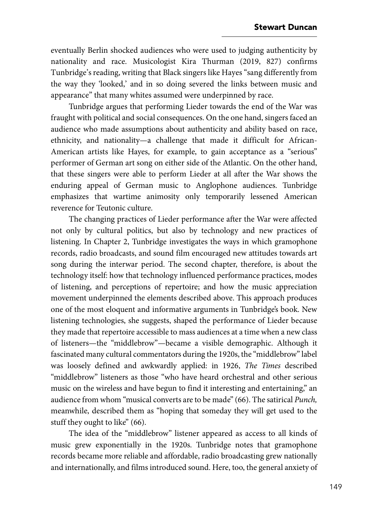eventually Berlin shocked audiences who were used to judging authenticity by nationality and race. Musicologist Kira Thurman (2019, 827) confirms Tunbridge's reading, writing that Black singers like Hayes "sang differently from the way they 'looked,' and in so doing severed the links between music and appearance" that many whites assumed were underpinned by race.

Tunbridge argues that performing Lieder towards the end of the War was fraught with political and social consequences. On the one hand, singers faced an audience who made assumptions about authenticity and ability based on race, ethnicity, and nationality—a challenge that made it difficult for African-American artists like Hayes, for example, to gain acceptance as a "serious" performer of German art song on either side of the Atlantic. On the other hand, that these singers were able to perform Lieder at all after the War shows the enduring appeal of German music to Anglophone audiences. Tunbridge emphasizes that wartime animosity only temporarily lessened American reverence for Teutonic culture.

The changing practices of Lieder performance after the War were affected not only by cultural politics, but also by technology and new practices of listening. In Chapter 2, Tunbridge investigates the ways in which gramophone records, radio broadcasts, and sound film encouraged new attitudes towards art song during the interwar period. The second chapter, therefore, is about the technology itself: how that technology influenced performance practices, modes of listening, and perceptions of repertoire; and how the music appreciation movement underpinned the elements described above. This approach produces one of the most eloquent and informative arguments in Tunbridge's book. New listening technologies, she suggests, shaped the performance of Lieder because they made that repertoire accessible to mass audiences at a time when a new class of listeners—the "middlebrow"—became a visible demographic. Although it fascinated many cultural commentators during the 1920s, the "middlebrow" label was loosely defined and awkwardly applied: in 1926, The Times described "middlebrow" listeners as those "who have heard orchestral and other serious music on the wireless and have begun to find it interesting and entertaining," an audience from whom "musical converts are to be made" (66). The satirical Punch, meanwhile, described them as "hoping that someday they will get used to the stuff they ought to like" (66).

The idea of the "middlebrow" listener appeared as access to all kinds of music grew exponentially in the 1920s. Tunbridge notes that gramophone records became more reliable and affordable, radio broadcasting grew nationally and internationally, and films introduced sound. Here, too, the general anxiety of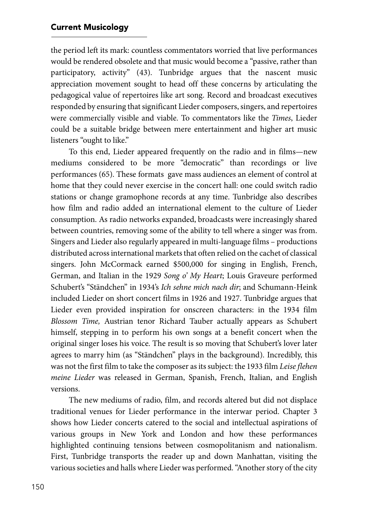the period left its mark: countless commentators worried that live performances would be rendered obsolete and that music would become a "passive, rather than participatory, activity" (43). Tunbridge argues that the nascent music appreciation movement sought to head off these concerns by articulating the pedagogical value of repertoires like art song. Record and broadcast executives responded by ensuring that significant Lieder composers, singers, and repertoires were commercially visible and viable. To commentators like the Times, Lieder could be a suitable bridge between mere entertainment and higher art music listeners "ought to like."

To this end, Lieder appeared frequently on the radio and in films—new mediums considered to be more "democratic" than recordings or live performances (65). These formats gave mass audiences an element of control at home that they could never exercise in the concert hall: one could switch radio stations or change gramophone records at any time. Tunbridge also describes how film and radio added an international element to the culture of Lieder consumption. As radio networks expanded, broadcasts were increasingly shared between countries, removing some of the ability to tell where a singer was from. Singers and Lieder also regularly appeared in multi-language films – productions distributed across international markets that often relied on the cachet of classical singers. John McCormack earned \$500,000 for singing in English, French, German, and Italian in the 1929 Song o' My Heart; Louis Graveure performed Schubert's "Ständchen" in 1934's Ich sehne mich nach dir; and Schumann-Heink included Lieder on short concert films in 1926 and 1927. Tunbridge argues that Lieder even provided inspiration for onscreen characters: in the 1934 film Blossom Time, Austrian tenor Richard Tauber actually appears as Schubert himself, stepping in to perform his own songs at a benefit concert when the original singer loses his voice. The result is so moving that Schubert's lover later agrees to marry him (as "Ständchen" plays in the background). Incredibly, this was not the first film to take the composer as its subject: the 1933 film Leise flehen meine Lieder was released in German, Spanish, French, Italian, and English versions.

The new mediums of radio, film, and records altered but did not displace traditional venues for Lieder performance in the interwar period. Chapter 3 shows how Lieder concerts catered to the social and intellectual aspirations of various groups in New York and London and how these performances highlighted continuing tensions between cosmopolitanism and nationalism. First, Tunbridge transports the reader up and down Manhattan, visiting the various societies and halls where Lieder was performed. "Another story of the city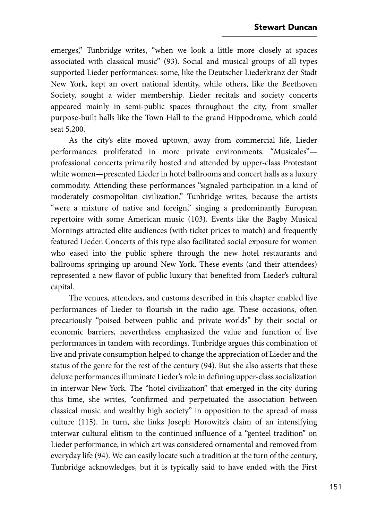emerges," Tunbridge writes, "when we look a little more closely at spaces associated with classical music" (93). Social and musical groups of all types supported Lieder performances: some, like the Deutscher Liederkranz der Stadt New York, kept an overt national identity, while others, like the Beethoven Society, sought a wider membership. Lieder recitals and society concerts appeared mainly in semi-public spaces throughout the city, from smaller purpose-built halls like the Town Hall to the grand Hippodrome, which could seat 5,200.

As the city's elite moved uptown, away from commercial life, Lieder performances proliferated in more private environments. "Musicales" professional concerts primarily hosted and attended by upper-class Protestant white women—presented Lieder in hotel ballrooms and concert halls as a luxury commodity. Attending these performances "signaled participation in a kind of moderately cosmopolitan civilization," Tunbridge writes, because the artists "were a mixture of native and foreign," singing a predominantly European repertoire with some American music (103). Events like the Bagby Musical Mornings attracted elite audiences (with ticket prices to match) and frequently featured Lieder. Concerts of this type also facilitated social exposure for women who eased into the public sphere through the new hotel restaurants and ballrooms springing up around New York. These events (and their attendees) represented a new flavor of public luxury that benefited from Lieder's cultural capital.

The venues, attendees, and customs described in this chapter enabled live performances of Lieder to flourish in the radio age. These occasions, often precariously "poised between public and private worlds" by their social or economic barriers, nevertheless emphasized the value and function of live performances in tandem with recordings. Tunbridge argues this combination of live and private consumption helped to change the appreciation of Lieder and the status of the genre for the rest of the century (94). But she also asserts that these deluxe performances illuminate Lieder's role in defining upper-class socialization in interwar New York. The "hotel civilization" that emerged in the city during this time, she writes, "confirmed and perpetuated the association between classical music and wealthy high society" in opposition to the spread of mass culture (115). In turn, she links Joseph Horowitz's claim of an intensifying interwar cultural elitism to the continued influence of a "genteel tradition" on Lieder performance, in which art was considered ornamental and removed from everyday life (94). We can easily locate such a tradition at the turn of the century, Tunbridge acknowledges, but it is typically said to have ended with the First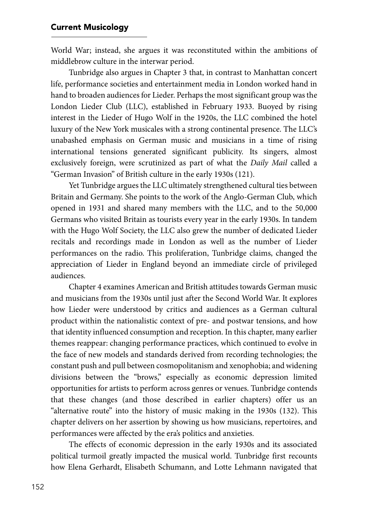World War; instead, she argues it was reconstituted within the ambitions of middlebrow culture in the interwar period.

Tunbridge also argues in Chapter 3 that, in contrast to Manhattan concert life, performance societies and entertainment media in London worked hand in hand to broaden audiences for Lieder. Perhaps the most significant group was the London Lieder Club (LLC), established in February 1933. Buoyed by rising interest in the Lieder of Hugo Wolf in the 1920s, the LLC combined the hotel luxury of the New York musicales with a strong continental presence. The LLC's unabashed emphasis on German music and musicians in a time of rising international tensions generated significant publicity. Its singers, almost exclusively foreign, were scrutinized as part of what the Daily Mail called a "German Invasion" of British culture in the early 1930s (121).

Yet Tunbridge argues the LLC ultimately strengthened cultural ties between Britain and Germany. She points to the work of the Anglo-German Club, which opened in 1931 and shared many members with the LLC, and to the 50,000 Germans who visited Britain as tourists every year in the early 1930s. In tandem with the Hugo Wolf Society, the LLC also grew the number of dedicated Lieder recitals and recordings made in London as well as the number of Lieder performances on the radio. This proliferation, Tunbridge claims, changed the appreciation of Lieder in England beyond an immediate circle of privileged audiences.

Chapter 4 examines American and British attitudes towards German music and musicians from the 1930s until just after the Second World War. It explores how Lieder were understood by critics and audiences as a German cultural product within the nationalistic context of pre- and postwar tensions, and how that identity influenced consumption and reception. In this chapter, many earlier themes reappear: changing performance practices, which continued to evolve in the face of new models and standards derived from recording technologies; the constant push and pull between cosmopolitanism and xenophobia; and widening divisions between the "brows," especially as economic depression limited opportunities for artists to perform across genres or venues. Tunbridge contends that these changes (and those described in earlier chapters) offer us an "alternative route" into the history of music making in the 1930s (132). This chapter delivers on her assertion by showing us how musicians, repertoires, and performances were affected by the era's politics and anxieties.

The effects of economic depression in the early 1930s and its associated political turmoil greatly impacted the musical world. Tunbridge first recounts how Elena Gerhardt, Elisabeth Schumann, and Lotte Lehmann navigated that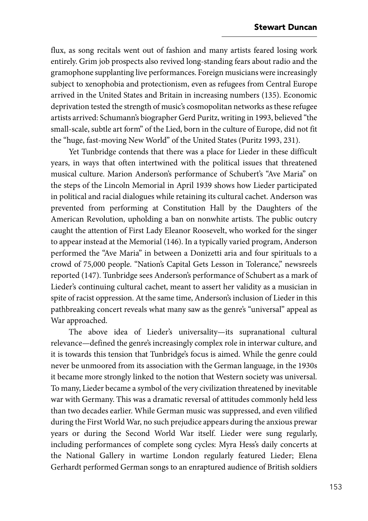flux, as song recitals went out of fashion and many artists feared losing work entirely. Grim job prospects also revived long-standing fears about radio and the gramophone supplanting live performances. Foreign musicians were increasingly subject to xenophobia and protectionism, even as refugees from Central Europe arrived in the United States and Britain in increasing numbers (135). Economic deprivation tested the strength of music's cosmopolitan networks as these refugee artists arrived: Schumann's biographer Gerd Puritz, writing in 1993, believed "the small-scale, subtle art form" of the Lied, born in the culture of Europe, did not fit the "huge, fast-moving New World" of the United States (Puritz 1993, 231).

Yet Tunbridge contends that there was a place for Lieder in these difficult years, in ways that often intertwined with the political issues that threatened musical culture. Marion Anderson's performance of Schubert's "Ave Maria" on the steps of the Lincoln Memorial in April 1939 shows how Lieder participated in political and racial dialogues while retaining its cultural cachet. Anderson was prevented from performing at Constitution Hall by the Daughters of the American Revolution, upholding a ban on nonwhite artists. The public outcry caught the attention of First Lady Eleanor Roosevelt, who worked for the singer to appear instead at the Memorial (146). In a typically varied program, Anderson performed the "Ave Maria" in between a Donizetti aria and four spirituals to a crowd of 75,000 people. "Nation's Capital Gets Lesson in Tolerance," newsreels reported (147). Tunbridge sees Anderson's performance of Schubert as a mark of Lieder's continuing cultural cachet, meant to assert her validity as a musician in spite of racist oppression. At the same time, Anderson's inclusion of Lieder in this pathbreaking concert reveals what many saw as the genre's "universal" appeal as War approached.

The above idea of Lieder's universality—its supranational cultural relevance—defined the genre's increasingly complex role in interwar culture, and it is towards this tension that Tunbridge's focus is aimed. While the genre could never be unmoored from its association with the German language, in the 1930s it became more strongly linked to the notion that Western society was universal. To many, Lieder became a symbol of the very civilization threatened by inevitable war with Germany. This was a dramatic reversal of attitudes commonly held less than two decades earlier. While German music was suppressed, and even vilified during the First World War, no such prejudice appears during the anxious prewar years or during the Second World War itself. Lieder were sung regularly, including performances of complete song cycles: Myra Hess's daily concerts at the National Gallery in wartime London regularly featured Lieder; Elena Gerhardt performed German songs to an enraptured audience of British soldiers